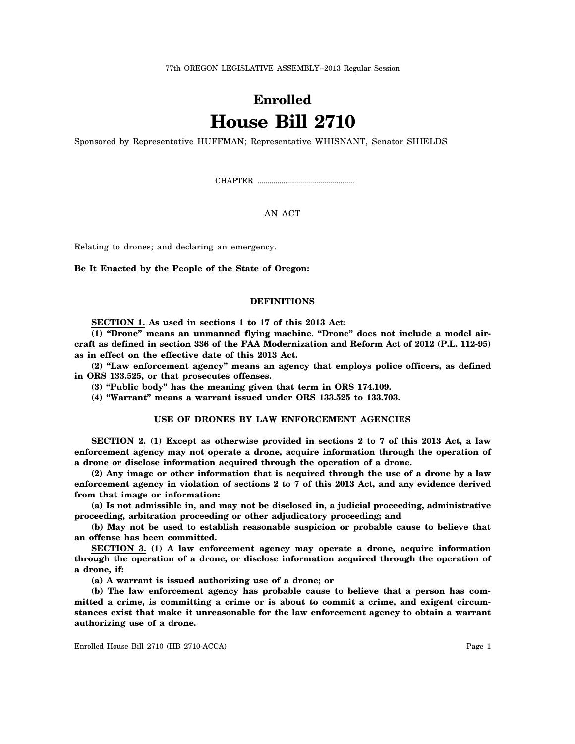77th OREGON LEGISLATIVE ASSEMBLY--2013 Regular Session

# **Enrolled House Bill 2710**

Sponsored by Representative HUFFMAN; Representative WHISNANT, Senator SHIELDS

CHAPTER .................................................

AN ACT

Relating to drones; and declaring an emergency.

**Be It Enacted by the People of the State of Oregon:**

# **DEFINITIONS**

**SECTION 1. As used in sections 1 to 17 of this 2013 Act:**

**(1) "Drone" means an unmanned flying machine. "Drone" does not include a model aircraft as defined in section 336 of the FAA Modernization and Reform Act of 2012 (P.L. 112-95) as in effect on the effective date of this 2013 Act.**

**(2) "Law enforcement agency" means an agency that employs police officers, as defined in ORS 133.525, or that prosecutes offenses.**

**(3) "Public body" has the meaning given that term in ORS 174.109.**

**(4) "Warrant" means a warrant issued under ORS 133.525 to 133.703.**

# **USE OF DRONES BY LAW ENFORCEMENT AGENCIES**

**SECTION 2. (1) Except as otherwise provided in sections 2 to 7 of this 2013 Act, a law enforcement agency may not operate a drone, acquire information through the operation of a drone or disclose information acquired through the operation of a drone.**

**(2) Any image or other information that is acquired through the use of a drone by a law enforcement agency in violation of sections 2 to 7 of this 2013 Act, and any evidence derived from that image or information:**

**(a) Is not admissible in, and may not be disclosed in, a judicial proceeding, administrative proceeding, arbitration proceeding or other adjudicatory proceeding; and**

**(b) May not be used to establish reasonable suspicion or probable cause to believe that an offense has been committed.**

**SECTION 3. (1) A law enforcement agency may operate a drone, acquire information through the operation of a drone, or disclose information acquired through the operation of a drone, if:**

**(a) A warrant is issued authorizing use of a drone; or**

**(b) The law enforcement agency has probable cause to believe that a person has committed a crime, is committing a crime or is about to commit a crime, and exigent circumstances exist that make it unreasonable for the law enforcement agency to obtain a warrant authorizing use of a drone.**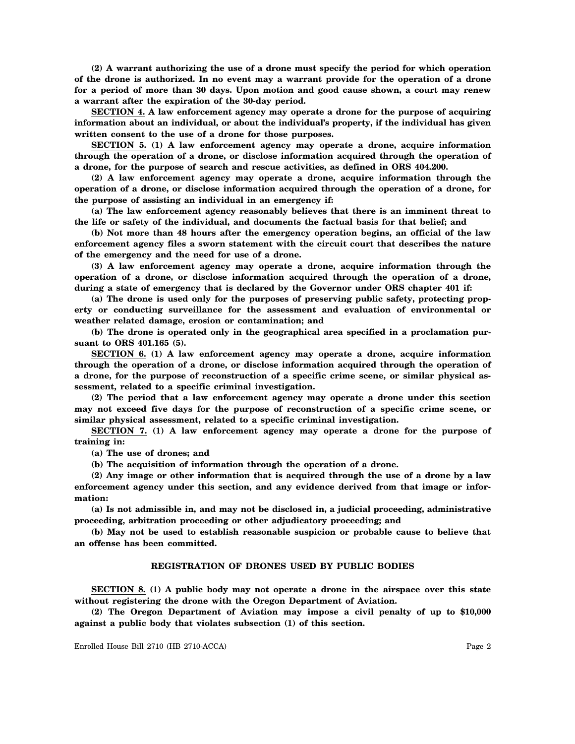**(2) A warrant authorizing the use of a drone must specify the period for which operation of the drone is authorized. In no event may a warrant provide for the operation of a drone for a period of more than 30 days. Upon motion and good cause shown, a court may renew a warrant after the expiration of the 30-day period.**

**SECTION 4. A law enforcement agency may operate a drone for the purpose of acquiring information about an individual, or about the individual's property, if the individual has given written consent to the use of a drone for those purposes.**

**SECTION 5. (1) A law enforcement agency may operate a drone, acquire information through the operation of a drone, or disclose information acquired through the operation of a drone, for the purpose of search and rescue activities, as defined in ORS 404.200.**

**(2) A law enforcement agency may operate a drone, acquire information through the operation of a drone, or disclose information acquired through the operation of a drone, for the purpose of assisting an individual in an emergency if:**

**(a) The law enforcement agency reasonably believes that there is an imminent threat to the life or safety of the individual, and documents the factual basis for that belief; and**

**(b) Not more than 48 hours after the emergency operation begins, an official of the law enforcement agency files a sworn statement with the circuit court that describes the nature of the emergency and the need for use of a drone.**

**(3) A law enforcement agency may operate a drone, acquire information through the operation of a drone, or disclose information acquired through the operation of a drone, during a state of emergency that is declared by the Governor under ORS chapter 401 if:**

**(a) The drone is used only for the purposes of preserving public safety, protecting property or conducting surveillance for the assessment and evaluation of environmental or weather related damage, erosion or contamination; and**

**(b) The drone is operated only in the geographical area specified in a proclamation pursuant to ORS 401.165 (5).**

**SECTION 6. (1) A law enforcement agency may operate a drone, acquire information through the operation of a drone, or disclose information acquired through the operation of a drone, for the purpose of reconstruction of a specific crime scene, or similar physical assessment, related to a specific criminal investigation.**

**(2) The period that a law enforcement agency may operate a drone under this section may not exceed five days for the purpose of reconstruction of a specific crime scene, or similar physical assessment, related to a specific criminal investigation.**

**SECTION 7. (1) A law enforcement agency may operate a drone for the purpose of training in:**

**(a) The use of drones; and**

**(b) The acquisition of information through the operation of a drone.**

**(2) Any image or other information that is acquired through the use of a drone by a law enforcement agency under this section, and any evidence derived from that image or information:**

**(a) Is not admissible in, and may not be disclosed in, a judicial proceeding, administrative proceeding, arbitration proceeding or other adjudicatory proceeding; and**

**(b) May not be used to establish reasonable suspicion or probable cause to believe that an offense has been committed.**

## **REGISTRATION OF DRONES USED BY PUBLIC BODIES**

**SECTION 8. (1) A public body may not operate a drone in the airspace over this state without registering the drone with the Oregon Department of Aviation.**

**(2) The Oregon Department of Aviation may impose a civil penalty of up to \$10,000 against a public body that violates subsection (1) of this section.**

Enrolled House Bill 2710 (HB 2710-ACCA) Page 2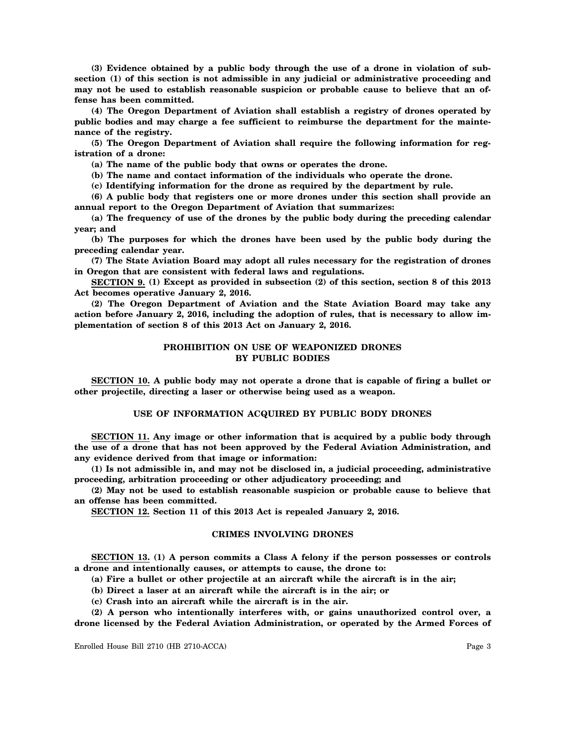**(3) Evidence obtained by a public body through the use of a drone in violation of subsection (1) of this section is not admissible in any judicial or administrative proceeding and may not be used to establish reasonable suspicion or probable cause to believe that an offense has been committed.**

**(4) The Oregon Department of Aviation shall establish a registry of drones operated by public bodies and may charge a fee sufficient to reimburse the department for the maintenance of the registry.**

**(5) The Oregon Department of Aviation shall require the following information for registration of a drone:**

**(a) The name of the public body that owns or operates the drone.**

**(b) The name and contact information of the individuals who operate the drone.**

**(c) Identifying information for the drone as required by the department by rule.**

**(6) A public body that registers one or more drones under this section shall provide an annual report to the Oregon Department of Aviation that summarizes:**

**(a) The frequency of use of the drones by the public body during the preceding calendar year; and**

**(b) The purposes for which the drones have been used by the public body during the preceding calendar year.**

**(7) The State Aviation Board may adopt all rules necessary for the registration of drones in Oregon that are consistent with federal laws and regulations.**

**SECTION 9. (1) Except as provided in subsection (2) of this section, section 8 of this 2013 Act becomes operative January 2, 2016.**

**(2) The Oregon Department of Aviation and the State Aviation Board may take any action before January 2, 2016, including the adoption of rules, that is necessary to allow implementation of section 8 of this 2013 Act on January 2, 2016.**

## **PROHIBITION ON USE OF WEAPONIZED DRONES BY PUBLIC BODIES**

**SECTION 10. A public body may not operate a drone that is capable of firing a bullet or other projectile, directing a laser or otherwise being used as a weapon.**

## **USE OF INFORMATION ACQUIRED BY PUBLIC BODY DRONES**

**SECTION 11. Any image or other information that is acquired by a public body through the use of a drone that has not been approved by the Federal Aviation Administration, and any evidence derived from that image or information:**

**(1) Is not admissible in, and may not be disclosed in, a judicial proceeding, administrative proceeding, arbitration proceeding or other adjudicatory proceeding; and**

**(2) May not be used to establish reasonable suspicion or probable cause to believe that an offense has been committed.**

**SECTION 12. Section 11 of this 2013 Act is repealed January 2, 2016.**

### **CRIMES INVOLVING DRONES**

**SECTION 13. (1) A person commits a Class A felony if the person possesses or controls a drone and intentionally causes, or attempts to cause, the drone to:**

**(a) Fire a bullet or other projectile at an aircraft while the aircraft is in the air;**

**(b) Direct a laser at an aircraft while the aircraft is in the air; or**

**(c) Crash into an aircraft while the aircraft is in the air.**

**(2) A person who intentionally interferes with, or gains unauthorized control over, a drone licensed by the Federal Aviation Administration, or operated by the Armed Forces of**

Enrolled House Bill 2710 (HB 2710-ACCA) Page 3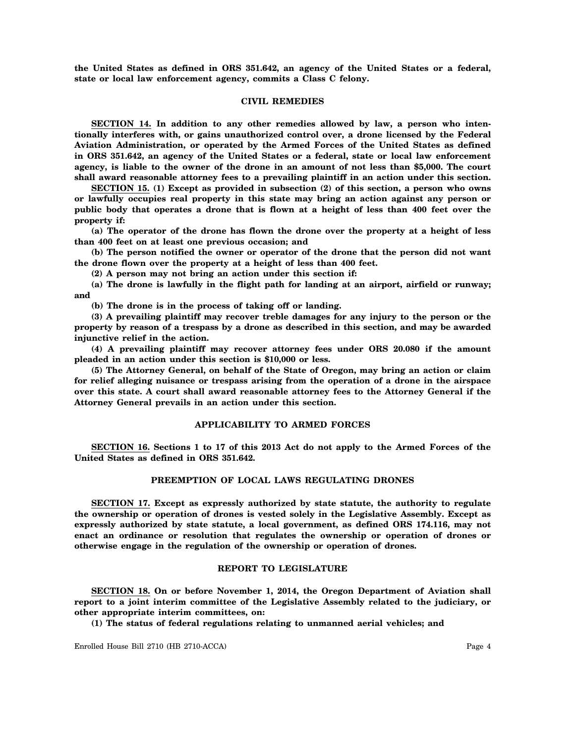**the United States as defined in ORS 351.642, an agency of the United States or a federal, state or local law enforcement agency, commits a Class C felony.**

#### **CIVIL REMEDIES**

**SECTION 14. In addition to any other remedies allowed by law, a person who intentionally interferes with, or gains unauthorized control over, a drone licensed by the Federal Aviation Administration, or operated by the Armed Forces of the United States as defined in ORS 351.642, an agency of the United States or a federal, state or local law enforcement agency, is liable to the owner of the drone in an amount of not less than \$5,000. The court shall award reasonable attorney fees to a prevailing plaintiff in an action under this section.**

**SECTION 15. (1) Except as provided in subsection (2) of this section, a person who owns or lawfully occupies real property in this state may bring an action against any person or public body that operates a drone that is flown at a height of less than 400 feet over the property if:**

**(a) The operator of the drone has flown the drone over the property at a height of less than 400 feet on at least one previous occasion; and**

**(b) The person notified the owner or operator of the drone that the person did not want the drone flown over the property at a height of less than 400 feet.**

**(2) A person may not bring an action under this section if:**

**(a) The drone is lawfully in the flight path for landing at an airport, airfield or runway; and**

**(b) The drone is in the process of taking off or landing.**

**(3) A prevailing plaintiff may recover treble damages for any injury to the person or the property by reason of a trespass by a drone as described in this section, and may be awarded injunctive relief in the action.**

**(4) A prevailing plaintiff may recover attorney fees under ORS 20.080 if the amount pleaded in an action under this section is \$10,000 or less.**

**(5) The Attorney General, on behalf of the State of Oregon, may bring an action or claim for relief alleging nuisance or trespass arising from the operation of a drone in the airspace over this state. A court shall award reasonable attorney fees to the Attorney General if the Attorney General prevails in an action under this section.**

## **APPLICABILITY TO ARMED FORCES**

**SECTION 16. Sections 1 to 17 of this 2013 Act do not apply to the Armed Forces of the United States as defined in ORS 351.642.**

# **PREEMPTION OF LOCAL LAWS REGULATING DRONES**

**SECTION 17. Except as expressly authorized by state statute, the authority to regulate the ownership or operation of drones is vested solely in the Legislative Assembly. Except as expressly authorized by state statute, a local government, as defined ORS 174.116, may not enact an ordinance or resolution that regulates the ownership or operation of drones or otherwise engage in the regulation of the ownership or operation of drones.**

# **REPORT TO LEGISLATURE**

**SECTION 18. On or before November 1, 2014, the Oregon Department of Aviation shall report to a joint interim committee of the Legislative Assembly related to the judiciary, or other appropriate interim committees, on:**

**(1) The status of federal regulations relating to unmanned aerial vehicles; and**

Enrolled House Bill 2710 (HB 2710-ACCA) Page 4